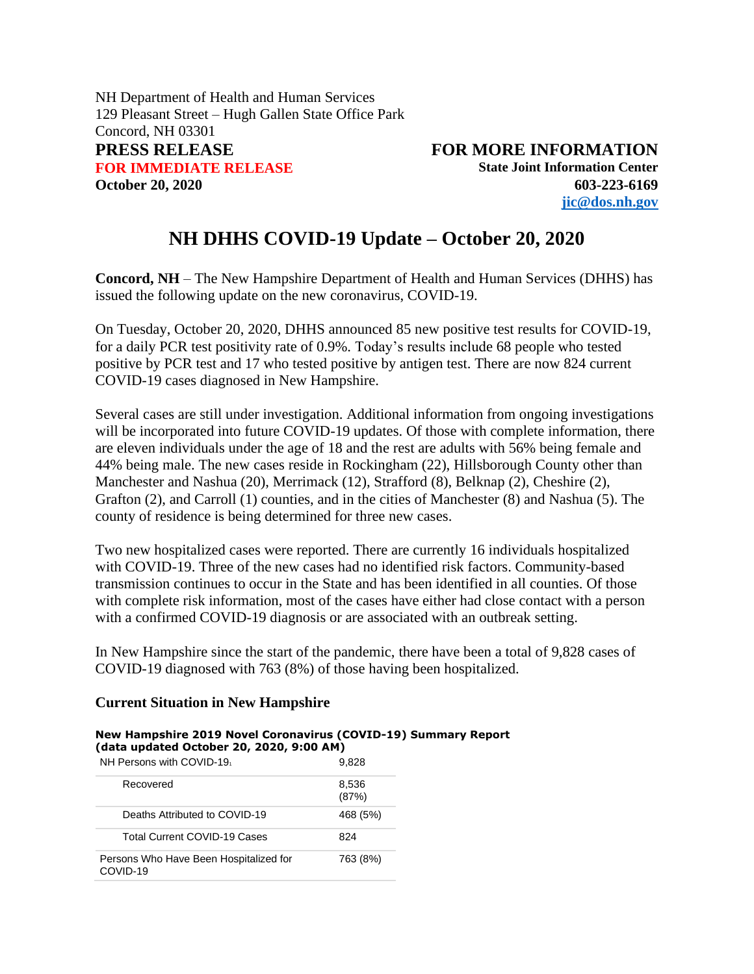NH Department of Health and Human Services 129 Pleasant Street – Hugh Gallen State Office Park Concord, NH 03301 **PRESS RELEASE FOR MORE INFORMATION FOR IMMEDIATE RELEASE State Joint Information Center October 20, 2020 603-223-6169**

**[jic@dos.nh.gov](mailto:jic@dos.nh.gov)**

# **NH DHHS COVID-19 Update – October 20, 2020**

**Concord, NH** – The New Hampshire Department of Health and Human Services (DHHS) has issued the following update on the new coronavirus, COVID-19.

On Tuesday, October 20, 2020, DHHS announced 85 new positive test results for COVID-19, for a daily PCR test positivity rate of 0.9%. Today's results include 68 people who tested positive by PCR test and 17 who tested positive by antigen test. There are now 824 current COVID-19 cases diagnosed in New Hampshire.

Several cases are still under investigation. Additional information from ongoing investigations will be incorporated into future COVID-19 updates. Of those with complete information, there are eleven individuals under the age of 18 and the rest are adults with 56% being female and 44% being male. The new cases reside in Rockingham (22), Hillsborough County other than Manchester and Nashua (20), Merrimack (12), Strafford (8), Belknap (2), Cheshire (2), Grafton (2), and Carroll (1) counties, and in the cities of Manchester (8) and Nashua (5). The county of residence is being determined for three new cases.

Two new hospitalized cases were reported. There are currently 16 individuals hospitalized with COVID-19. Three of the new cases had no identified risk factors. Community-based transmission continues to occur in the State and has been identified in all counties. Of those with complete risk information, most of the cases have either had close contact with a person with a confirmed COVID-19 diagnosis or are associated with an outbreak setting.

In New Hampshire since the start of the pandemic, there have been a total of 9,828 cases of COVID-19 diagnosed with 763 (8%) of those having been hospitalized.

### **Current Situation in New Hampshire**

#### **New Hampshire 2019 Novel Coronavirus (COVID-19) Summary Report (data updated October 20, 2020, 9:00 AM)**

| NH Persons with COVID-19                           | 9,828          |  |  |
|----------------------------------------------------|----------------|--|--|
| Recovered                                          | 8,536<br>(87%) |  |  |
| Deaths Attributed to COVID-19                      | 468 (5%)       |  |  |
| <b>Total Current COVID-19 Cases</b>                | 824            |  |  |
| Persons Who Have Been Hospitalized for<br>COVID-19 | 763 (8%)       |  |  |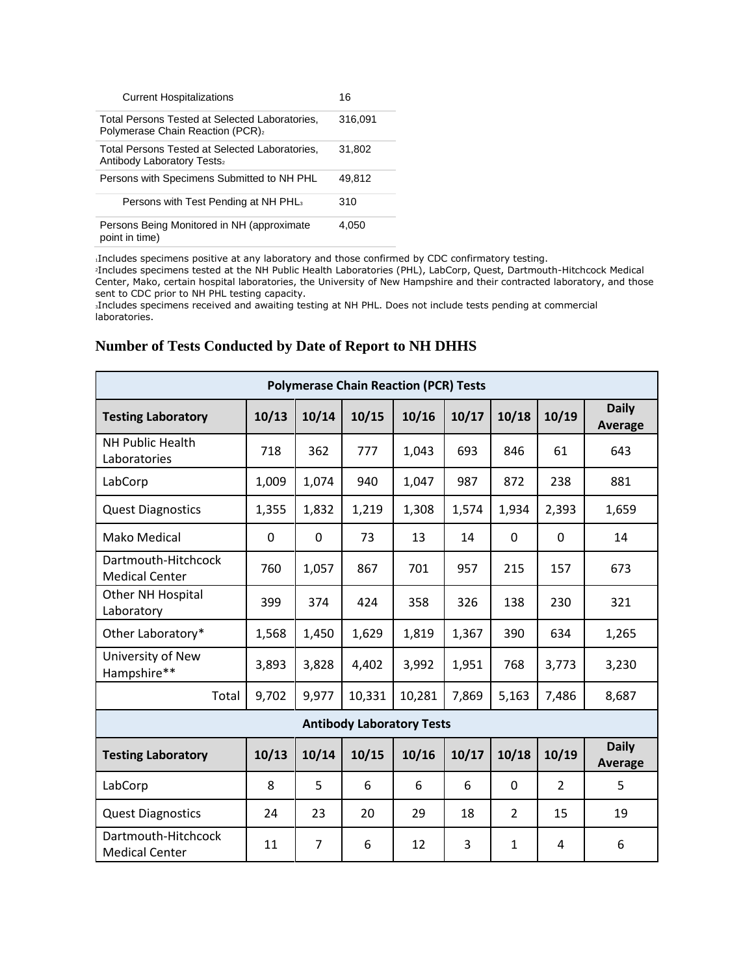| <b>Current Hospitalizations</b>                                                                 | 16      |
|-------------------------------------------------------------------------------------------------|---------|
| Total Persons Tested at Selected Laboratories.<br>Polymerase Chain Reaction (PCR)2              | 316.091 |
| Total Persons Tested at Selected Laboratories,<br><b>Antibody Laboratory Tests</b> <sub>2</sub> | 31.802  |
| Persons with Specimens Submitted to NH PHL                                                      | 49.812  |
| Persons with Test Pending at NH PHL <sub>3</sub>                                                | 310     |
| Persons Being Monitored in NH (approximate<br>point in time)                                    | 4,050   |

<sup>1</sup>Includes specimens positive at any laboratory and those confirmed by CDC confirmatory testing.

<sup>2</sup>Includes specimens tested at the NH Public Health Laboratories (PHL), LabCorp, Quest, Dartmouth-Hitchcock Medical Center, Mako, certain hospital laboratories, the University of New Hampshire and their contracted laboratory, and those sent to CDC prior to NH PHL testing capacity.

<sup>3</sup>Includes specimens received and awaiting testing at NH PHL. Does not include tests pending at commercial laboratories.

## **Number of Tests Conducted by Date of Report to NH DHHS**

| <b>Polymerase Chain Reaction (PCR) Tests</b> |       |                |        |        |       |                |               |                                |
|----------------------------------------------|-------|----------------|--------|--------|-------|----------------|---------------|--------------------------------|
| <b>Testing Laboratory</b>                    | 10/13 | 10/14          | 10/15  | 10/16  | 10/17 | 10/18          | 10/19         | <b>Daily</b><br>Average        |
| <b>NH Public Health</b><br>Laboratories      | 718   | 362            | 777    | 1,043  | 693   | 846            | 61            | 643                            |
| LabCorp                                      | 1,009 | 1,074          | 940    | 1,047  | 987   | 872            | 238           | 881                            |
| <b>Quest Diagnostics</b>                     | 1,355 | 1,832          | 1,219  | 1,308  | 1,574 | 1,934          | 2,393         | 1,659                          |
| Mako Medical                                 | 0     | 0              | 73     | 13     | 14    | $\mathbf 0$    | 0             | 14                             |
| Dartmouth-Hitchcock<br><b>Medical Center</b> | 760   | 1,057          | 867    | 701    | 957   | 215            | 157           | 673                            |
| <b>Other NH Hospital</b><br>Laboratory       | 399   | 374            | 424    | 358    | 326   | 138            | 230           | 321                            |
| Other Laboratory*                            | 1,568 | 1,450          | 1,629  | 1,819  | 1,367 | 390            | 634           | 1,265                          |
| University of New<br>Hampshire**             | 3,893 | 3,828          | 4,402  | 3,992  | 1,951 | 768            | 3,773         | 3,230                          |
| Total                                        | 9,702 | 9,977          | 10,331 | 10,281 | 7,869 | 5,163          | 7,486         | 8,687                          |
| <b>Antibody Laboratory Tests</b>             |       |                |        |        |       |                |               |                                |
| <b>Testing Laboratory</b>                    | 10/13 | 10/14          | 10/15  | 10/16  | 10/17 | 10/18          | 10/19         | <b>Daily</b><br><b>Average</b> |
| LabCorp                                      | 8     | 5              | 6      | 6      | 6     | $\mathbf 0$    | $\mathcal{P}$ | 5                              |
| <b>Quest Diagnostics</b>                     | 24    | 23             | 20     | 29     | 18    | $\overline{2}$ | 15            | 19                             |
| Dartmouth-Hitchcock<br><b>Medical Center</b> | 11    | $\overline{7}$ | 6      | 12     | 3     | $\mathbf{1}$   | 4             | 6                              |